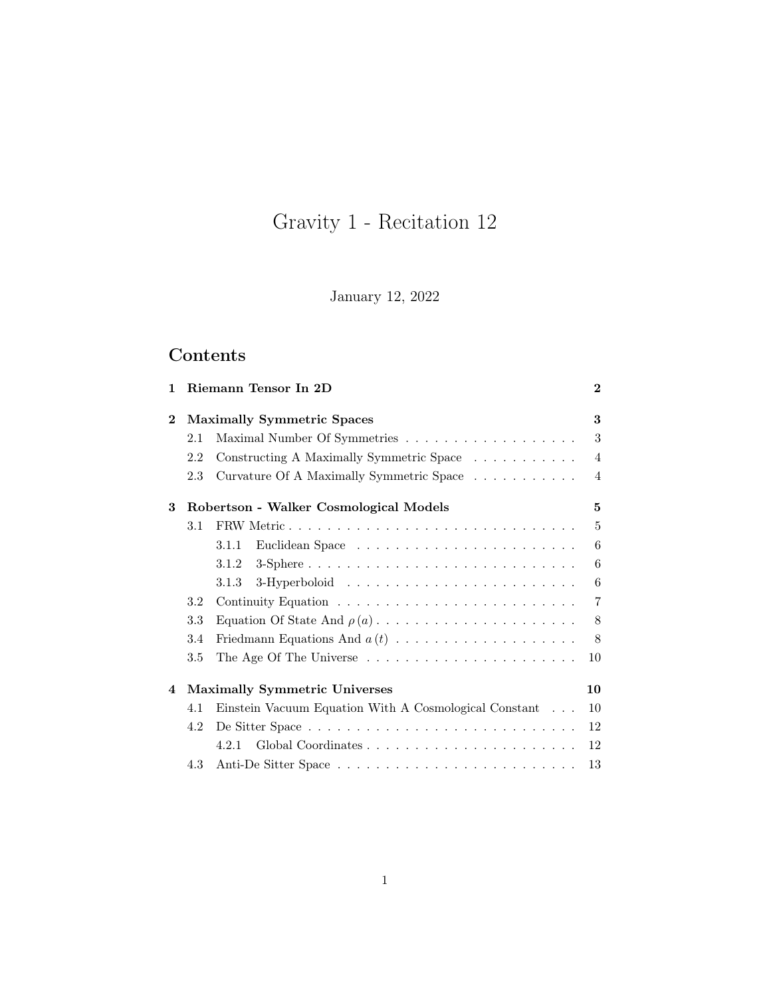# Gravity 1 - Recitation 12

January 12, 2022

# Contents

| 1        | Riemann Tensor In 2D              |                                                       |                |  |  |  |  |  |  |
|----------|-----------------------------------|-------------------------------------------------------|----------------|--|--|--|--|--|--|
| $\bf{2}$ | <b>Maximally Symmetric Spaces</b> |                                                       |                |  |  |  |  |  |  |
|          | 2.1                               |                                                       | 3              |  |  |  |  |  |  |
|          | 2.2                               | Constructing A Maximally Symmetric Space              | $\overline{4}$ |  |  |  |  |  |  |
|          | 2.3                               | Curvature Of A Maximally Symmetric Space              | $\overline{4}$ |  |  |  |  |  |  |
| 3        |                                   | Robertson - Walker Cosmological Models                | 5              |  |  |  |  |  |  |
|          | 3.1                               |                                                       | $\overline{5}$ |  |  |  |  |  |  |
|          |                                   | 3.1.1                                                 | 6              |  |  |  |  |  |  |
|          |                                   | 3.1.2                                                 | 6              |  |  |  |  |  |  |
|          |                                   | 3.1.3                                                 | 6              |  |  |  |  |  |  |
|          | 3.2                               |                                                       |                |  |  |  |  |  |  |
|          | 3.3                               |                                                       |                |  |  |  |  |  |  |
|          | 3.4                               |                                                       |                |  |  |  |  |  |  |
|          | 3.5                               |                                                       |                |  |  |  |  |  |  |
| 4        |                                   | <b>Maximally Symmetric Universes</b><br>10            |                |  |  |  |  |  |  |
|          | 4.1                               | Einstein Vacuum Equation With A Cosmological Constant |                |  |  |  |  |  |  |
|          | 4.2                               |                                                       |                |  |  |  |  |  |  |
|          |                                   | 4.2.1                                                 | 12             |  |  |  |  |  |  |
|          | 4.3                               | 13                                                    |                |  |  |  |  |  |  |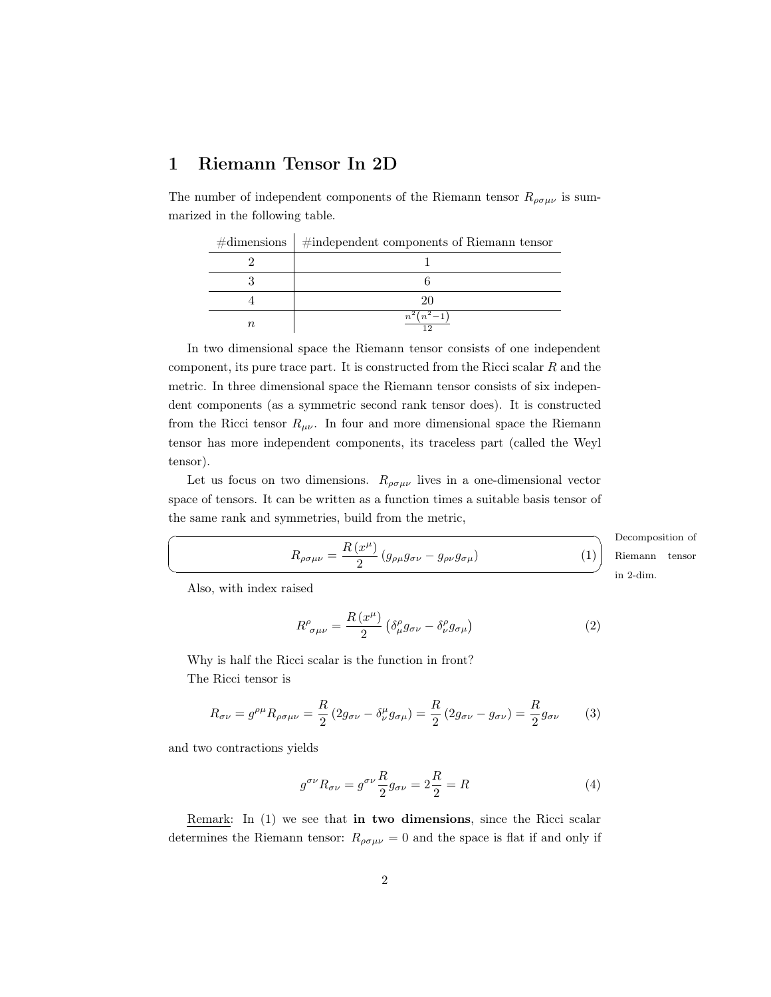## <span id="page-1-0"></span>1 Riemann Tensor In 2D

 $\overline{1}$ 

The number of independent components of the Riemann tensor  $R_{\rho\sigma\mu\nu}$  is summarized in the following table.

| $\#$ dimensions $\frac{1}{2}$ #independent components of Riemann tensor |  |  |  |  |
|-------------------------------------------------------------------------|--|--|--|--|
|                                                                         |  |  |  |  |
|                                                                         |  |  |  |  |
|                                                                         |  |  |  |  |
|                                                                         |  |  |  |  |

In two dimensional space the Riemann tensor consists of one independent component, its pure trace part. It is constructed from the Ricci scalar  $R$  and the metric. In three dimensional space the Riemann tensor consists of six independent components (as a symmetric second rank tensor does). It is constructed from the Ricci tensor  $R_{\mu\nu}$ . In four and more dimensional space the Riemann tensor has more independent components, its traceless part (called the Weyl tensor).

Let us focus on two dimensions.  $R_{\rho\sigma\mu\nu}$  lives in a one-dimensional vector space of tensors. It can be written as a function times a suitable basis tensor of the same rank and symmetries, build from the metric,

<span id="page-1-1"></span>
$$
R_{\rho\sigma\mu\nu} = \frac{R\left(x^{\mu}\right)}{2} \left(g_{\rho\mu}g_{\sigma\nu} - g_{\rho\nu}g_{\sigma\mu}\right) \tag{1}
$$

Decomposition of in 2-dim. Riemann tensor

Also, with index raised

☛

 $\searrow$ 

<span id="page-1-2"></span>
$$
R^{\rho}_{\ \sigma\mu\nu} = \frac{R\left(x^{\mu}\right)}{2} \left(\delta^{\rho}_{\mu}g_{\sigma\nu} - \delta^{\rho}_{\nu}g_{\sigma\mu}\right) \tag{2}
$$

Why is half the Ricci scalar is the function in front? The Ricci tensor is

$$
R_{\sigma\nu} = g^{\rho\mu} R_{\rho\sigma\mu\nu} = \frac{R}{2} \left( 2g_{\sigma\nu} - \delta^{\mu}_{\nu} g_{\sigma\mu} \right) = \frac{R}{2} \left( 2g_{\sigma\nu} - g_{\sigma\nu} \right) = \frac{R}{2} g_{\sigma\nu} \tag{3}
$$

and two contractions yields

$$
g^{\sigma\nu}R_{\sigma\nu} = g^{\sigma\nu}\frac{R}{2}g_{\sigma\nu} = 2\frac{R}{2} = R\tag{4}
$$

Remark: In [\(1\)](#page-1-1) we see that in two dimensions, since the Ricci scalar determines the Riemann tensor:  $R_{\rho\sigma\mu\nu} = 0$  and the space is flat if and only if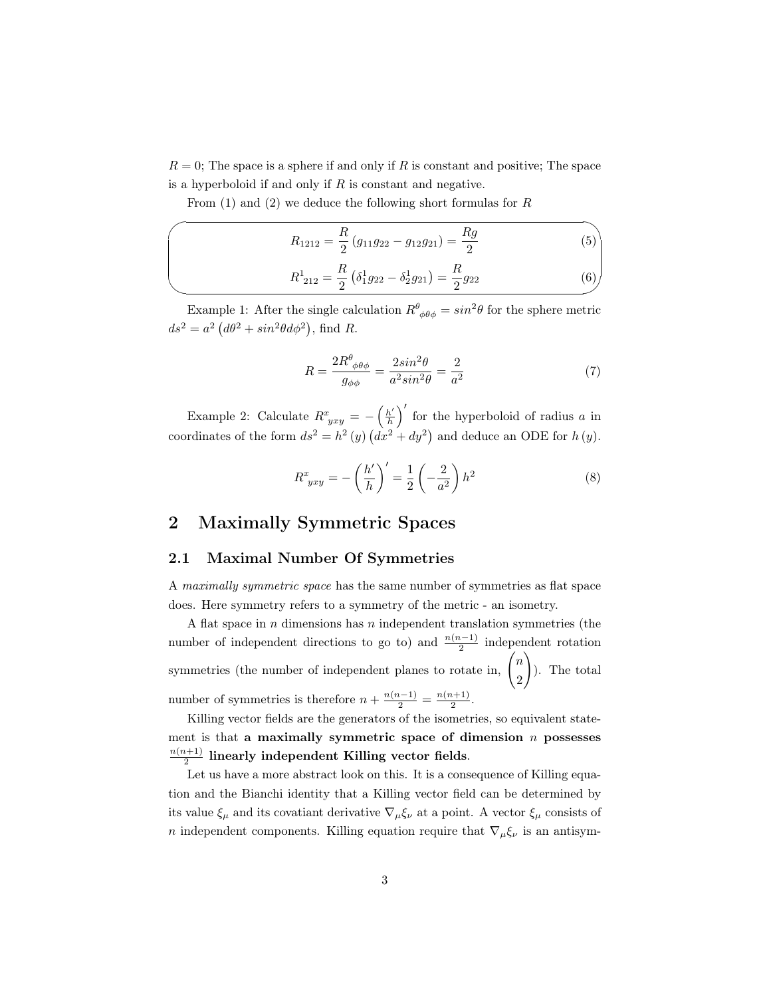$R = 0$ ; The space is a sphere if and only if R is constant and positive; The space is a hyperboloid if and only if  $R$  is constant and negative.

From  $(1)$  and  $(2)$  we deduce the following short formulas for R

$$
R_{1212} = \frac{R}{2} (g_{11}g_{22} - g_{12}g_{21}) = \frac{Rg}{2}
$$
(5)  

$$
R_{212}^1 = \frac{R}{2} (\delta_1^1 g_{22} - \delta_2^1 g_{21}) = \frac{R}{2} g_{22}
$$
(6)

Example 1: After the single calculation  $R^{\theta}_{\phi\theta\phi} = \sin^2\theta$  for the sphere metric  $ds^2 = a^2 (d\theta^2 + sin^2\theta d\phi^2)$ , find R.

$$
R = \frac{2R^{\theta}_{\ \phi\theta\phi}}{g_{\phi\phi}} = \frac{2\sin^2\theta}{a^2\sin^2\theta} = \frac{2}{a^2}
$$
 (7)

Example 2: Calculate  $R^x_{~yxy} = -\left(\frac{h'}{h}\right)$  $\left(\frac{h'}{h}\right)'$  for the hyperboloid of radius a in coordinates of the form  $ds^2 = h^2(y) (dx^2 + dy^2)$  and deduce an ODE for  $h(y)$ .

$$
R^x_{yxy} = -\left(\frac{h'}{h}\right)' = \frac{1}{2}\left(-\frac{2}{a^2}\right)h^2\tag{8}
$$

## <span id="page-2-0"></span>2 Maximally Symmetric Spaces

#### <span id="page-2-1"></span>2.1 Maximal Number Of Symmetries

A maximally symmetric space has the same number of symmetries as flat space does. Here symmetry refers to a symmetry of the metric - an isometry.

A flat space in  $n$  dimensions has  $n$  independent translation symmetries (the number of independent directions to go to) and  $\frac{n(n-1)}{2}$  independent rotation symmetries (the number of independent planes to rotate in,  $\binom{n}{k}$ 2  $\setminus$ ). The total number of symmetries is therefore  $n + \frac{n(n-1)}{2} = \frac{n(n+1)}{2}$  $\frac{i+1j}{2}$ .

Killing vector fields are the generators of the isometries, so equivalent statement is that a maximally symmetric space of dimension  $n$  possesses  $n(n+1)$  $\frac{2^{(k+1)}}{2}$  linearly independent Killing vector fields.

Let us have a more abstract look on this. It is a consequence of Killing equation and the Bianchi identity that a Killing vector field can be determined by its value  $\xi_{\mu}$  and its covatiant derivative  $\nabla_{\mu}\xi_{\nu}$  at a point. A vector  $\xi_{\mu}$  consists of n independent components. Killing equation require that  $\nabla_{\mu} \xi_{\nu}$  is an antisym-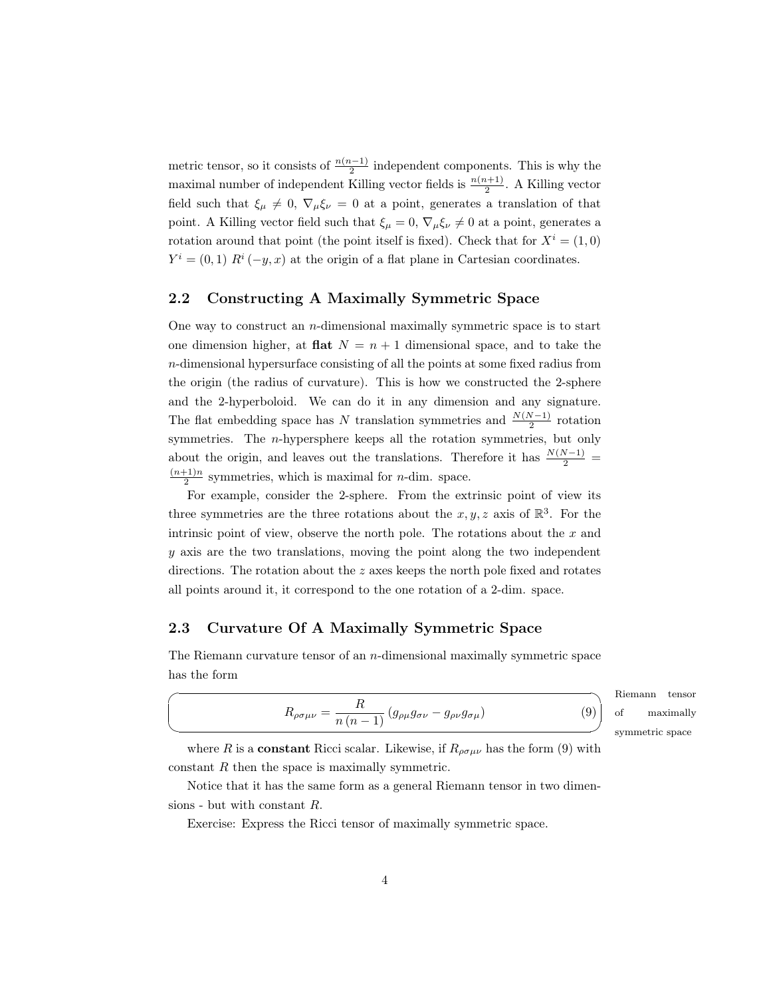metric tensor, so it consists of  $\frac{n(n-1)}{2}$  independent components. This is why the maximal number of independent Killing vector fields is  $\frac{n(n+1)}{2}$ . A Killing vector field such that  $\xi_{\mu} \neq 0$ ,  $\nabla_{\mu} \xi_{\nu} = 0$  at a point, generates a translation of that point. A Killing vector field such that  $\xi_{\mu} = 0$ ,  $\nabla_{\mu} \xi_{\nu} \neq 0$  at a point, generates a rotation around that point (the point itself is fixed). Check that for  $X^i = (1,0)$  $Y^i = (0, 1) R^i(-y, x)$  at the origin of a flat plane in Cartesian coordinates.

#### <span id="page-3-0"></span>2.2 Constructing A Maximally Symmetric Space

One way to construct an  $n$ -dimensional maximally symmetric space is to start one dimension higher, at **flat**  $N = n + 1$  dimensional space, and to take the n-dimensional hypersurface consisting of all the points at some fixed radius from the origin (the radius of curvature). This is how we constructed the 2-sphere and the 2-hyperboloid. We can do it in any dimension and any signature. The flat embedding space has N translation symmetries and  $\frac{N(N-1)}{2}$  rotation symmetries. The n-hypersphere keeps all the rotation symmetries, but only about the origin, and leaves out the translations. Therefore it has  $\frac{N(N-1)}{2}$  =  $(n+1)n$  $\frac{p+1}{2}$  symmetries, which is maximal for *n*-dim. space.

For example, consider the 2-sphere. From the extrinsic point of view its three symmetries are the three rotations about the  $x, y, z$  axis of  $\mathbb{R}^3$ . For the intrinsic point of view, observe the north pole. The rotations about the  $x$  and y axis are the two translations, moving the point along the two independent directions. The rotation about the z axes keeps the north pole fixed and rotates all points around it, it correspond to the one rotation of a 2-dim. space.

## <span id="page-3-1"></span>2.3 Curvature Of A Maximally Symmetric Space

 $\overline{a}$ 

✍

The Riemann curvature tensor of an n-dimensional maximally symmetric space has the form

<span id="page-3-2"></span>
$$
R_{\rho\sigma\mu\nu} = \frac{R}{n(n-1)} \left( g_{\rho\mu} g_{\sigma\nu} - g_{\rho\nu} g_{\sigma\mu} \right) \tag{9}
$$

 $D:$ ✌ symmetric space nann tensor maximally

where R is a **constant** Ricci scalar. Likewise, if  $R_{\rho\sigma\mu\nu}$  has the form [\(9\)](#page-3-2) with constant R then the space is maximally symmetric.

Notice that it has the same form as a general Riemann tensor in two dimensions - but with constant R.

Exercise: Express the Ricci tensor of maximally symmetric space.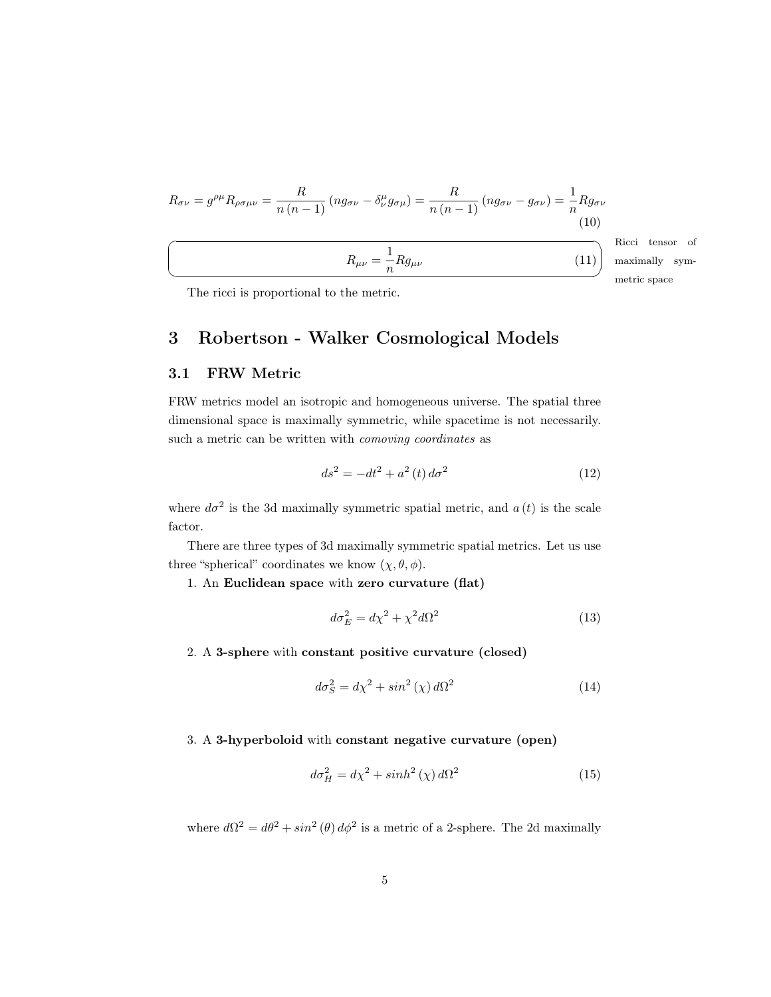$$
R_{\sigma\nu} = g^{\rho\mu} R_{\rho\sigma\mu\nu} = \frac{R}{n(n-1)} (ng_{\sigma\nu} - \delta^{\mu}_{\nu} g_{\sigma\mu}) = \frac{R}{n(n-1)} (ng_{\sigma\nu} - g_{\sigma\nu}) = \frac{1}{n} Rg_{\sigma\nu}
$$
\n(10)\n  
\n
$$
R_{\mu\nu} = \frac{1}{n} Rg_{\mu\nu}
$$
\n(11)\n
$$
\text{Ricci}
$$
\n(12)

metric space tensor of ally sym-

<span id="page-4-6"></span>The ricci is proportional to the metric.

# <span id="page-4-0"></span>3 Robertson - Walker Cosmological Models

## <span id="page-4-1"></span>3.1 FRW Metric

FRW metrics model an isotropic and homogeneous universe. The spatial three dimensional space is maximally symmetric, while spacetime is not necessarily. such a metric can be written with *comoving coordinates* as

<span id="page-4-2"></span>
$$
ds^{2} = -dt^{2} + a^{2}(t) d\sigma^{2}
$$
 (12)

where  $d\sigma^2$  is the 3d maximally symmetric spatial metric, and  $a(t)$  is the scale factor.

There are three types of 3d maximally symmetric spatial metrics. Let us use three "spherical" coordinates we know  $(\chi, \theta, \phi)$ .

1. An Euclidean space with zero curvature (flat)

<span id="page-4-3"></span>
$$
d\sigma_E^2 = d\chi^2 + \chi^2 d\Omega^2 \tag{13}
$$

2. A 3-sphere with constant positive curvature (closed)

<span id="page-4-4"></span>
$$
d\sigma_S^2 = d\chi^2 + \sin^2(\chi) \, d\Omega^2 \tag{14}
$$

3. A 3-hyperboloid with constant negative curvature (open)

<span id="page-4-5"></span>
$$
d\sigma_H^2 = d\chi^2 + \sinh^2(\chi) \, d\Omega^2 \tag{15}
$$

where  $d\Omega^2 = d\theta^2 + \sin^2(\theta) d\phi^2$  is a metric of a 2-sphere. The 2d maximally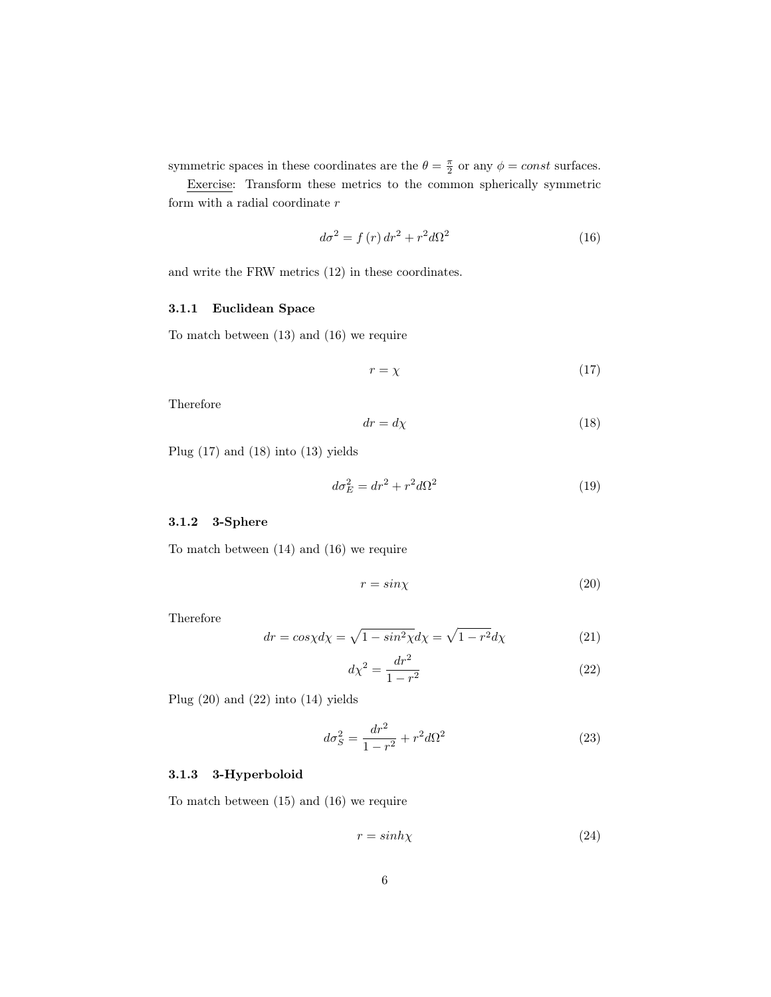symmetric spaces in these coordinates are the  $\theta = \frac{\pi}{2}$  or any  $\phi = const$  surfaces.

Exercise: Transform these metrics to the common spherically symmetric form with a radial coordinate  $\boldsymbol{r}$ 

<span id="page-5-3"></span>
$$
d\sigma^2 = f(r) dr^2 + r^2 d\Omega^2
$$
\n(16)

and write the FRW metrics [\(12\)](#page-4-2) in these coordinates.

#### <span id="page-5-0"></span>3.1.1 Euclidean Space

To match between [\(13\)](#page-4-3) and [\(16\)](#page-5-3) we require

<span id="page-5-4"></span>
$$
r = \chi \tag{17}
$$

Therefore

<span id="page-5-5"></span>
$$
dr = d\chi \tag{18}
$$

Plug [\(17\)](#page-5-4) and [\(18\)](#page-5-5) into [\(13\)](#page-4-3) yields

<span id="page-5-9"></span>
$$
d\sigma_E^2 = dr^2 + r^2 d\Omega^2 \tag{19}
$$

#### <span id="page-5-1"></span>3.1.2 3-Sphere

To match between [\(14\)](#page-4-4) and [\(16\)](#page-5-3) we require

<span id="page-5-6"></span>
$$
r = \sin \chi \tag{20}
$$

Therefore

$$
dr = \cos \chi d\chi = \sqrt{1 - \sin^2 \chi} d\chi = \sqrt{1 - r^2} d\chi \tag{21}
$$

<span id="page-5-7"></span>
$$
d\chi^2 = \frac{dr^2}{1 - r^2} \tag{22}
$$

Plug [\(20\)](#page-5-6) and [\(22\)](#page-5-7) into [\(14\)](#page-4-4) yields

<span id="page-5-10"></span>
$$
d\sigma_S^2 = \frac{dr^2}{1 - r^2} + r^2 d\Omega^2
$$
 (23)

#### <span id="page-5-2"></span>3.1.3 3-Hyperboloid

To match between [\(15\)](#page-4-5) and [\(16\)](#page-5-3) we require

<span id="page-5-8"></span>
$$
r = \sinh\chi\tag{24}
$$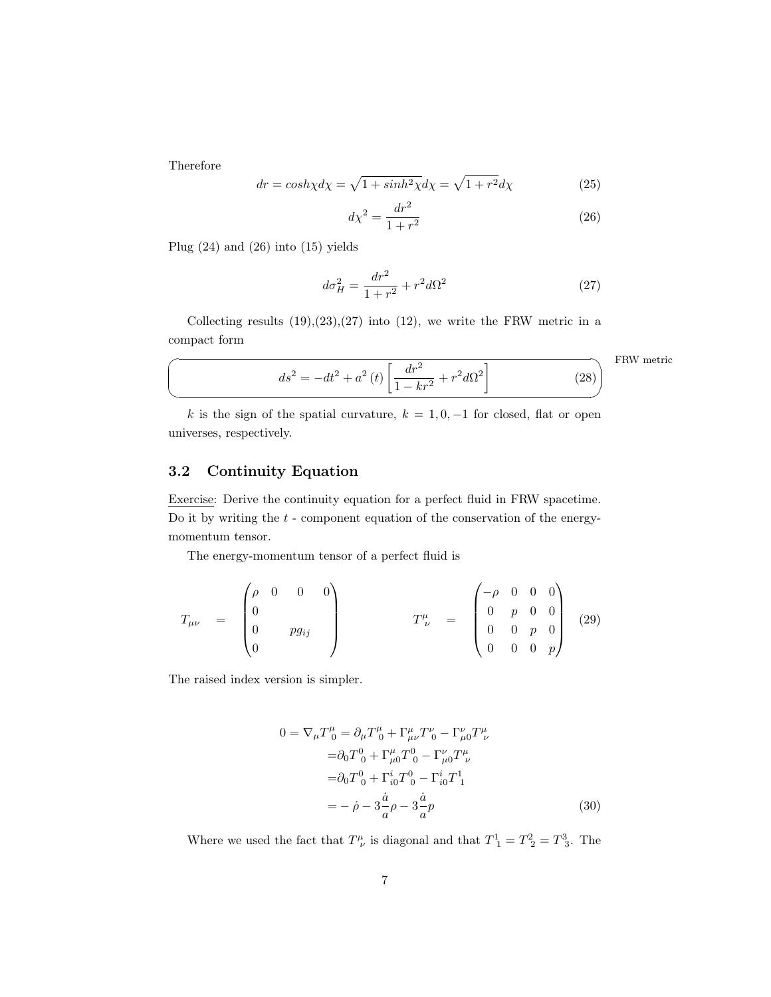Therefore

 $\sqrt{2}$ 

✍

$$
dr = \cosh \chi d\chi = \sqrt{1 + \sinh^2 \chi} d\chi = \sqrt{1 + r^2} d\chi \tag{25}
$$

<span id="page-6-1"></span>
$$
d\chi^2 = \frac{dr^2}{1+r^2} \tag{26}
$$

Plug [\(24\)](#page-5-8) and [\(26\)](#page-6-1) into [\(15\)](#page-4-5) yields

<span id="page-6-2"></span>
$$
d\sigma_H^2 = \frac{dr^2}{1+r^2} + r^2 d\Omega^2
$$
 (27)

Collecting results  $(19),(23),(27)$  $(19),(23),(27)$  $(19),(23),(27)$  $(19),(23),(27)$  $(19),(23),(27)$  into  $(12)$ , we write the FRW metric in a compact form

<span id="page-6-4"></span>FRW metric

<span id="page-6-3"></span>
$$
ds^{2} = -dt^{2} + a^{2}(t) \left[ \frac{dr^{2}}{1 - kr^{2}} + r^{2} d\Omega^{2} \right]
$$
 (28)

k is the sign of the spatial curvature,  $k = 1, 0, -1$  for closed, flat or open universes, respectively.

## <span id="page-6-0"></span>3.2 Continuity Equation

Exercise: Derive the continuity equation for a perfect fluid in FRW spacetime. Do it by writing the  $t$  - component equation of the conservation of the energymomentum tensor.

The energy-momentum tensor of a perfect fluid is

$$
T_{\mu\nu} = \begin{pmatrix} \rho & 0 & 0 & 0 \\ 0 & & & \\ 0 & & pg_{ij} & \\ 0 & & & \end{pmatrix} \qquad T^{\mu}_{\ \nu} = \begin{pmatrix} -\rho & 0 & 0 & 0 \\ 0 & p & 0 & 0 \\ 0 & 0 & p & 0 \\ 0 & 0 & 0 & p \end{pmatrix} \tag{29}
$$

The raised index version is simpler.

$$
0 = \nabla_{\mu} T_{0}^{\mu} = \partial_{\mu} T_{0}^{\mu} + \Gamma_{\mu\nu}^{\mu} T_{0}^{\nu} - \Gamma_{\mu 0}^{\nu} T_{\nu}^{\mu}
$$
  
\n
$$
= \partial_{0} T_{0}^{0} + \Gamma_{\mu 0}^{\mu} T_{0}^{0} - \Gamma_{\mu 0}^{\nu} T_{\nu}^{\mu}
$$
  
\n
$$
= \partial_{0} T_{0}^{0} + \Gamma_{i 0}^{i} T_{0}^{0} - \Gamma_{i 0}^{i} T_{1}^{1}
$$
  
\n
$$
= -\dot{\rho} - 3\frac{\dot{a}}{a} \rho - 3\frac{\dot{a}}{a} p
$$
 (30)

Where we used the fact that  $T^{\mu}_{\ \nu}$  is diagonal and that  $T^1_{\ 1} = T^2_{\ 2} = T^3_{\ 3}$ . The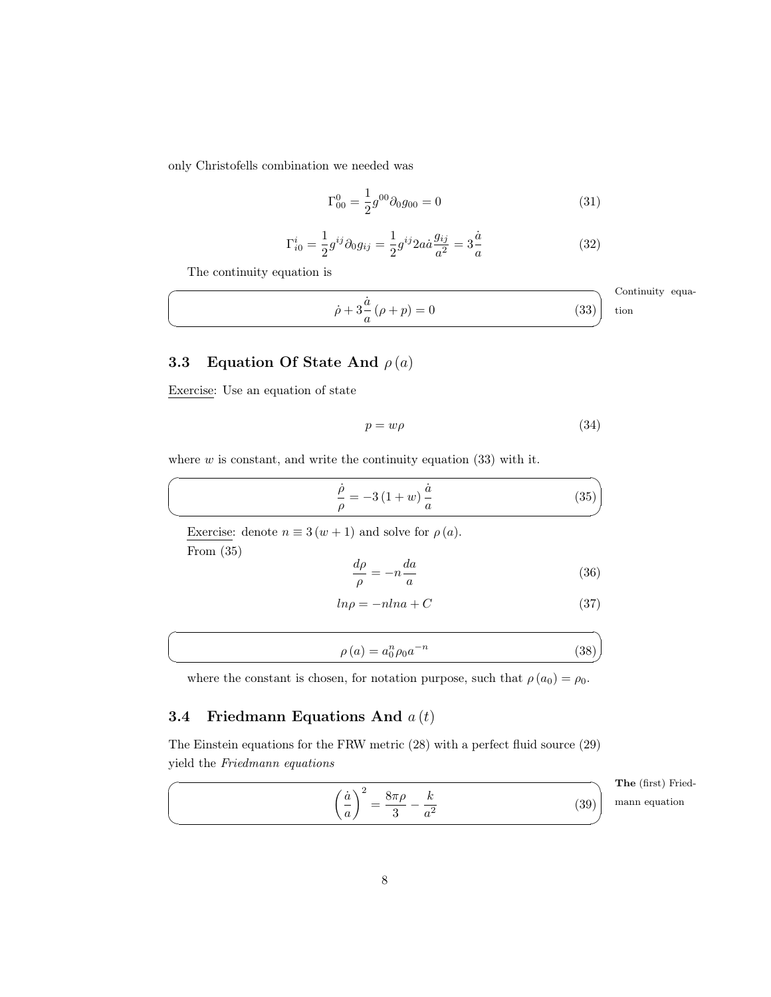only Christofells combination we needed was

$$
\Gamma_{00}^{0} = \frac{1}{2}g^{00}\partial_0 g_{00} = 0
$$
\n(31)

<span id="page-7-2"></span>
$$
\Gamma_{i0}^{i} = \frac{1}{2} g^{ij} \partial_0 g_{ij} = \frac{1}{2} g^{ij} 2a \dot{a} \frac{g_{ij}}{a^2} = 3 \frac{\dot{a}}{a} \tag{32}
$$

The continuity equation is

$$
\dot{\rho} + 3\frac{\dot{a}}{a}(\rho + p) = 0
$$
 Continuity equation (33)

# <span id="page-7-0"></span>3.3 Equation Of State And  $\rho(a)$

Exercise: Use an equation of state

 $\sqrt{2}$ 

✍

 $\overline{a}$ 

 $\searrow$ 

 $\overline{a}$ 

✍

$$
p = w\rho \tag{34}
$$

where  $w$  is constant, and write the continuity equation  $(33)$  with it.

<span id="page-7-3"></span>
$$
\frac{\dot{\rho}}{\rho} = -3(1+w)\frac{\dot{a}}{a} \tag{35}
$$

Exercise: denote  $n \equiv 3(w + 1)$  and solve for  $\rho(a)$ . From [\(35\)](#page-7-3)

$$
\frac{d\rho}{\rho} = -n \frac{da}{a} \tag{36}
$$

<span id="page-7-5"></span>
$$
ln \rho = -nln a + C \tag{37}
$$

$$
\rho(a) = a_0^n \rho_0 a^{-n} \tag{38}
$$

where the constant is chosen, for notation purpose, such that  $\rho(a_0) = \rho_0$ .

## <span id="page-7-1"></span>3.4 Friedmann Equations And  $a(t)$

The Einstein equations for the FRW metric [\(28\)](#page-6-3) with a perfect fluid source [\(29\)](#page-6-4) yield the Friedmann equations

<span id="page-7-4"></span>
$$
\left(\frac{\dot{a}}{a}\right)^2 = \frac{8\pi\rho}{3} - \frac{k}{a^2}
$$

The (first) Friedmann equation

(39)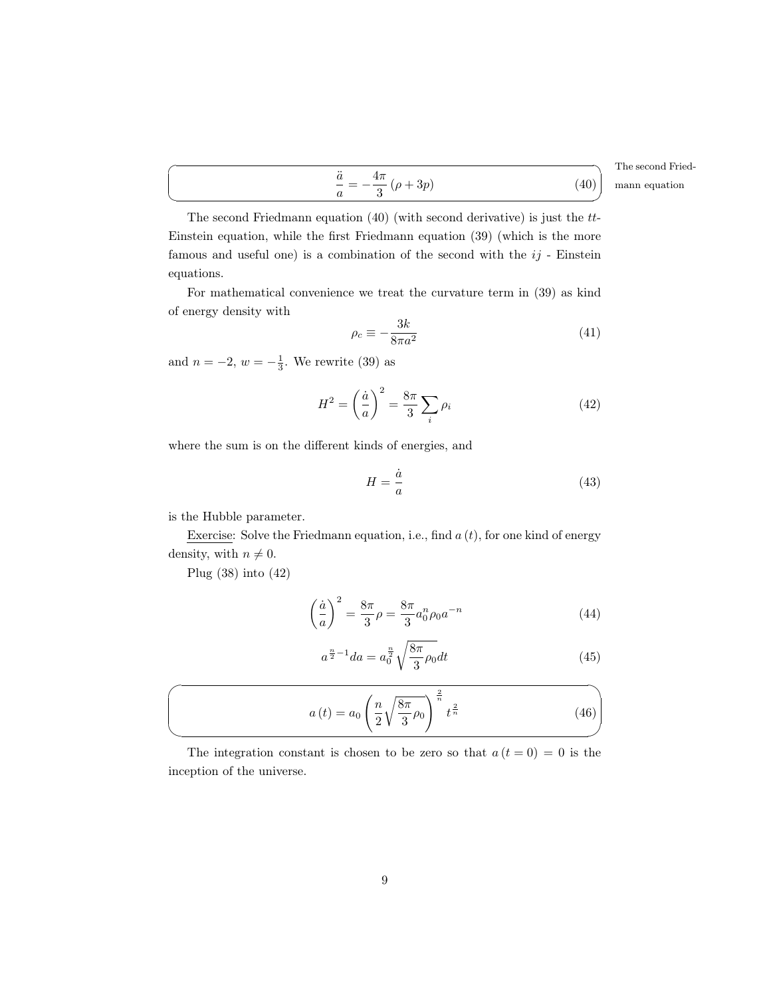$\searrow$ The second Friedmann equation  $(40)$  (with second derivative) is just the tt-Einstein equation, while the first Friedmann equation [\(39\)](#page-7-4) (which is the more famous and useful one) is a combination of the second with the  $ij$  - Einstein equations.

<span id="page-8-0"></span>a¨  $\frac{\ddot{a}}{a} = -\frac{4\pi}{3}$ 

For mathematical convenience we treat the curvature term in [\(39\)](#page-7-4) as kind of energy density with

$$
\rho_c \equiv -\frac{3k}{8\pi a^2} \tag{41}
$$

 $\frac{\pi}{3}(\rho+3p)$  (40)

and  $n = -2, w = -\frac{1}{3}$ . We rewrite [\(39\)](#page-7-4) as

<span id="page-8-1"></span>
$$
H^2 = \left(\frac{\dot{a}}{a}\right)^2 = \frac{8\pi}{3} \sum_i \rho_i \tag{42}
$$

where the sum is on the different kinds of energies, and

$$
H = \frac{\dot{a}}{a} \tag{43}
$$

is the Hubble parameter.

 $\overline{a}$ 

Exercise: Solve the Friedmann equation, i.e., find  $a(t)$ , for one kind of energy density, with  $n \neq 0$ .

Plug [\(38\)](#page-7-5) into [\(42\)](#page-8-1)

 $\sqrt{2}$ 

 $\searrow$ 

$$
\left(\frac{\dot{a}}{a}\right)^2 = \frac{8\pi}{3}\rho = \frac{8\pi}{3}a_0^n \rho_0 a^{-n}
$$
\n(44)

$$
a^{\frac{n}{2}-1}da = a_0^{\frac{n}{2}}\sqrt{\frac{8\pi}{3}\rho_0}dt
$$
\n(45)

<span id="page-8-2"></span>
$$
a(t) = a_0 \left(\frac{n}{2} \sqrt{\frac{8\pi}{3} \rho_0}\right)^{\frac{2}{n}} t^{\frac{2}{n}}
$$
\n
$$
(46)
$$

The integration constant is chosen to be zero so that  $a(t=0) = 0$  is the inception of the universe.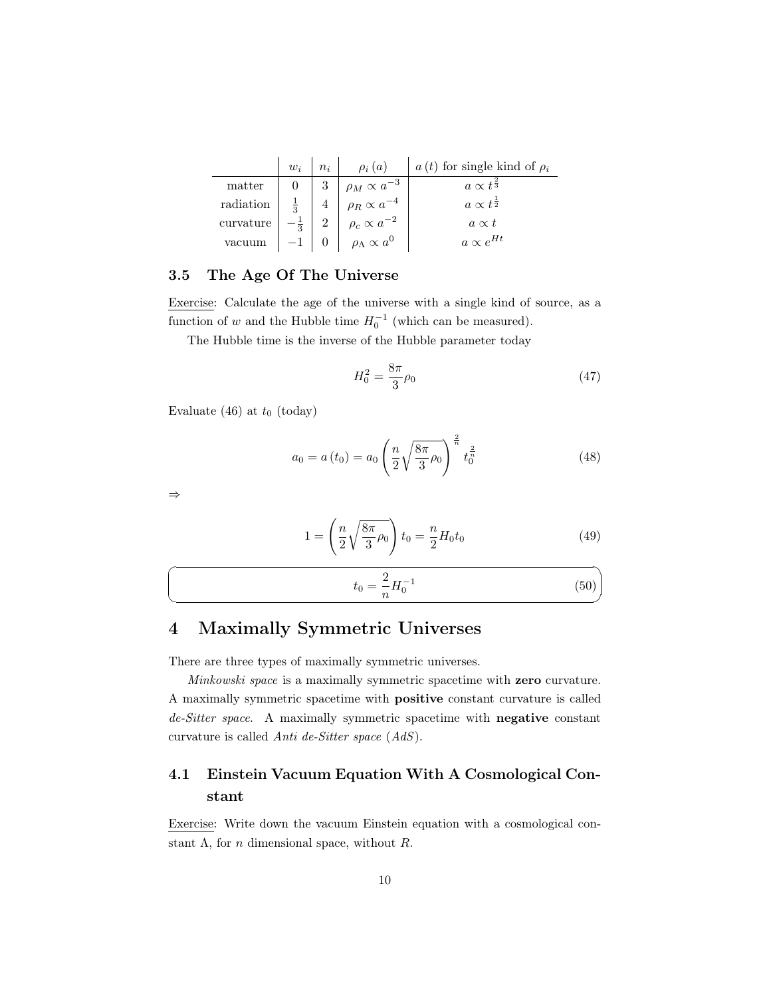|           | $w_i$ | $n_i$ | $\rho_i(a)$                  | $a(t)$ for single kind of $\rho_i$ |
|-----------|-------|-------|------------------------------|------------------------------------|
| matter    |       | 3     | $\rho_M \propto a^{-3}$      | $a \propto t^{\frac{2}{3}}$        |
| radiation |       |       | $\rho_R \propto a^{-4}$      | $a \propto t^{\frac{1}{2}}$        |
| curvature |       | ച     | $\rho_c \propto a^{-2}$      | $a \propto t$                      |
| vacuum    |       |       | $\rho_{\Lambda} \propto a^0$ | $a \propto e^{Ht}$                 |

### <span id="page-9-0"></span>3.5 The Age Of The Universe

Exercise: Calculate the age of the universe with a single kind of source, as a function of w and the Hubble time  $H_0^{-1}$  (which can be measured).

The Hubble time is the inverse of the Hubble parameter today

$$
H_0^2 = \frac{8\pi}{3}\rho_0\tag{47}
$$

Evaluate [\(46\)](#page-8-2) at  $t_0$  (today)

$$
a_0 = a(t_0) = a_0 \left(\frac{n}{2} \sqrt{\frac{8\pi}{3} \rho_0}\right)^{\frac{2}{n}} t_0^{\frac{2}{n}}
$$
 (48)

⇒

☛

 $\searrow$ 

$$
1 = \left(\frac{n}{2}\sqrt{\frac{8\pi}{3}\rho_0}\right)t_0 = \frac{n}{2}H_0t_0\tag{49}
$$

$$
t_0 = \frac{2}{n} H_0^{-1} \tag{50}
$$

# <span id="page-9-1"></span>4 Maximally Symmetric Universes

There are three types of maximally symmetric universes.

Minkowski space is a maximally symmetric spacetime with zero curvature. A maximally symmetric spacetime with positive constant curvature is called de-Sitter space. A maximally symmetric spacetime with **negative** constant curvature is called Anti de-Sitter space (AdS).

# <span id="page-9-2"></span>4.1 Einstein Vacuum Equation With A Cosmological Constant

Exercise: Write down the vacuum Einstein equation with a cosmological constant  $\Lambda$ , for *n* dimensional space, without  $R$ .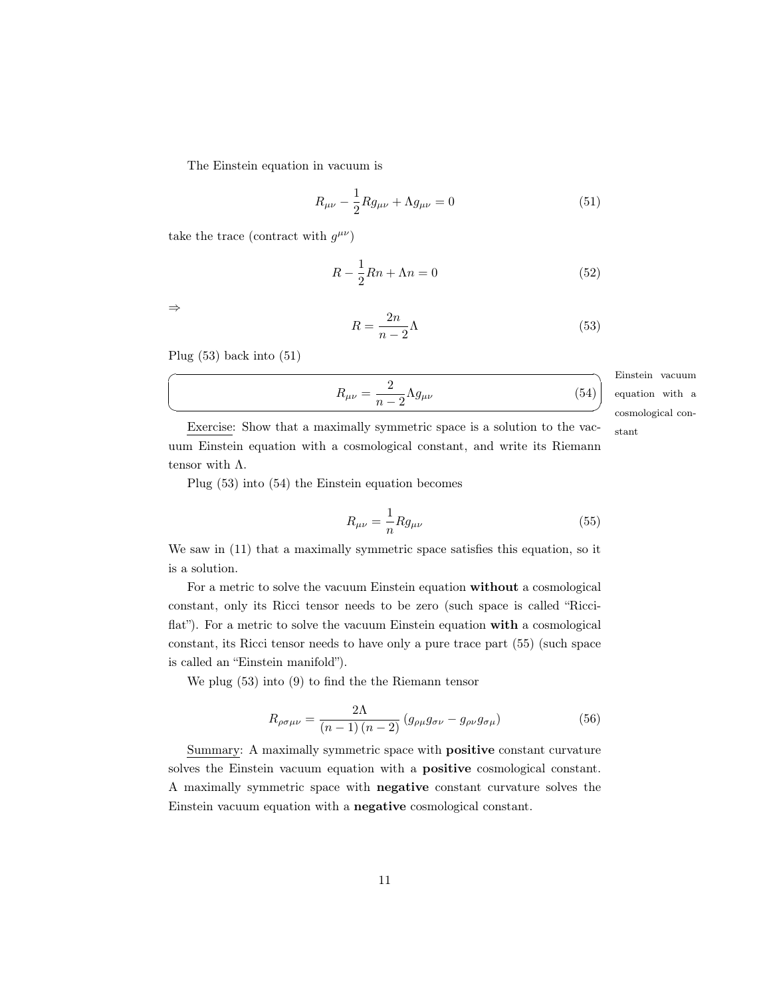The Einstein equation in vacuum is

<span id="page-10-1"></span>
$$
R_{\mu\nu} - \frac{1}{2} R g_{\mu\nu} + \Lambda g_{\mu\nu} = 0
$$
\n(51)

take the trace (contract with  $g^{\mu\nu}$ )

$$
R - \frac{1}{2}Rn + \Lambda n = 0\tag{52}
$$

⇒

<span id="page-10-2"></span><span id="page-10-0"></span>
$$
R = \frac{2n}{n-2}\Lambda\tag{53}
$$

Plug [\(53\)](#page-10-0) back into [\(51\)](#page-10-1)

$$
R_{\mu\nu} = \frac{2}{n-2} \Lambda g_{\mu\nu}
$$
 Eins  
equa  
equa  
cosm

Einstein vacuum cosmological contion with a

Exercise: Show that a maximally symmetric space is a solution to the vac- stant uum Einstein equation with a cosmological constant, and write its Riemann tensor with Λ.

Plug [\(53\)](#page-10-0) into [\(54\)](#page-10-2) the Einstein equation becomes

<span id="page-10-3"></span>
$$
R_{\mu\nu} = -\frac{1}{n} R g_{\mu\nu} \tag{55}
$$

We saw in [\(11\)](#page-4-6) that a maximally symmetric space satisfies this equation, so it is a solution.

For a metric to solve the vacuum Einstein equation without a cosmological constant, only its Ricci tensor needs to be zero (such space is called "Ricciflat"). For a metric to solve the vacuum Einstein equation with a cosmological constant, its Ricci tensor needs to have only a pure trace part [\(55\)](#page-10-3) (such space is called an "Einstein manifold").

We plug [\(53\)](#page-10-0) into [\(9\)](#page-3-2) to find the the Riemann tensor

$$
R_{\rho\sigma\mu\nu} = \frac{2\Lambda}{(n-1)(n-2)} \left( g_{\rho\mu}g_{\sigma\nu} - g_{\rho\nu}g_{\sigma\mu} \right) \tag{56}
$$

Summary: A maximally symmetric space with positive constant curvature solves the Einstein vacuum equation with a positive cosmological constant. A maximally symmetric space with negative constant curvature solves the Einstein vacuum equation with a negative cosmological constant.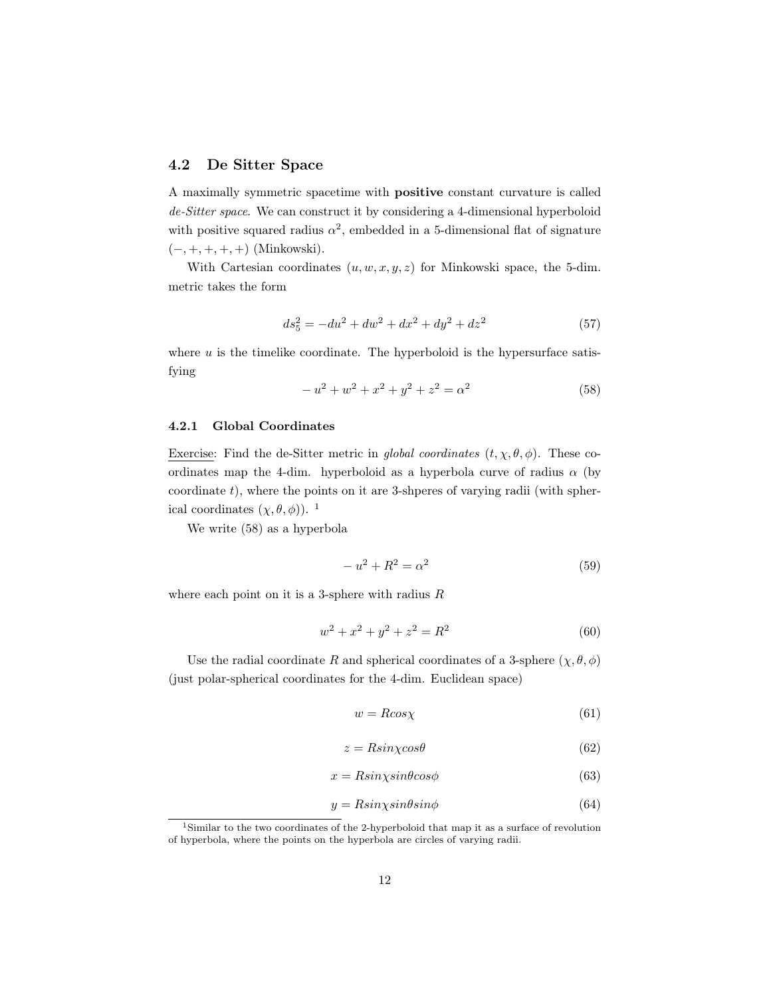## <span id="page-11-0"></span>4.2 De Sitter Space

A maximally symmetric spacetime with positive constant curvature is called de-Sitter space. We can construct it by considering a 4-dimensional hyperboloid with positive squared radius  $\alpha^2$ , embedded in a 5-dimensional flat of signature  $(-, +, +, +, +)$  (Minkowski).

With Cartesian coordinates  $(u, w, x, y, z)$  for Minkowski space, the 5-dim. metric takes the form

<span id="page-11-4"></span>
$$
ds_5^2 = -du^2 + dw^2 + dx^2 + dy^2 + dz^2
$$
\n(57)

where  $u$  is the timelike coordinate. The hyperboloid is the hypersurface satisfying

<span id="page-11-3"></span>
$$
-u^{2} + w^{2} + x^{2} + y^{2} + z^{2} = \alpha^{2}
$$
\n(58)

#### <span id="page-11-1"></span>4.2.1 Global Coordinates

Exercise: Find the de-Sitter metric in global coordinates  $(t, \chi, \theta, \phi)$ . These coordinates map the 4-dim. hyperboloid as a hyperbola curve of radius  $\alpha$  (by coordinate  $t$ ), where the points on it are 3-shperes of varying radii (with spherical coordinates  $(\chi, \theta, \phi)$ ). <sup>[1](#page-11-2)</sup>

We write [\(58\)](#page-11-3) as a hyperbola

<span id="page-11-5"></span>
$$
-u^2 + R^2 = \alpha^2 \tag{59}
$$

where each point on it is a 3-sphere with radius  $R$ 

$$
w^2 + x^2 + y^2 + z^2 = R^2 \tag{60}
$$

Use the radial coordinate R and spherical coordinates of a 3-sphere  $(\chi, \theta, \phi)$ (just polar-spherical coordinates for the 4-dim. Euclidean space)

$$
w = R \cos \chi \tag{61}
$$

$$
z = R\sin\chi\cos\theta\tag{62}
$$

$$
x = R\sin\chi\sin\theta\cos\phi\tag{63}
$$

$$
y = R\sin\chi\sin\theta\sin\phi\tag{64}
$$

<span id="page-11-2"></span><sup>1</sup>Similar to the two coordinates of the 2-hyperboloid that map it as a surface of revolution of hyperbola, where the points on the hyperbola are circles of varying radii.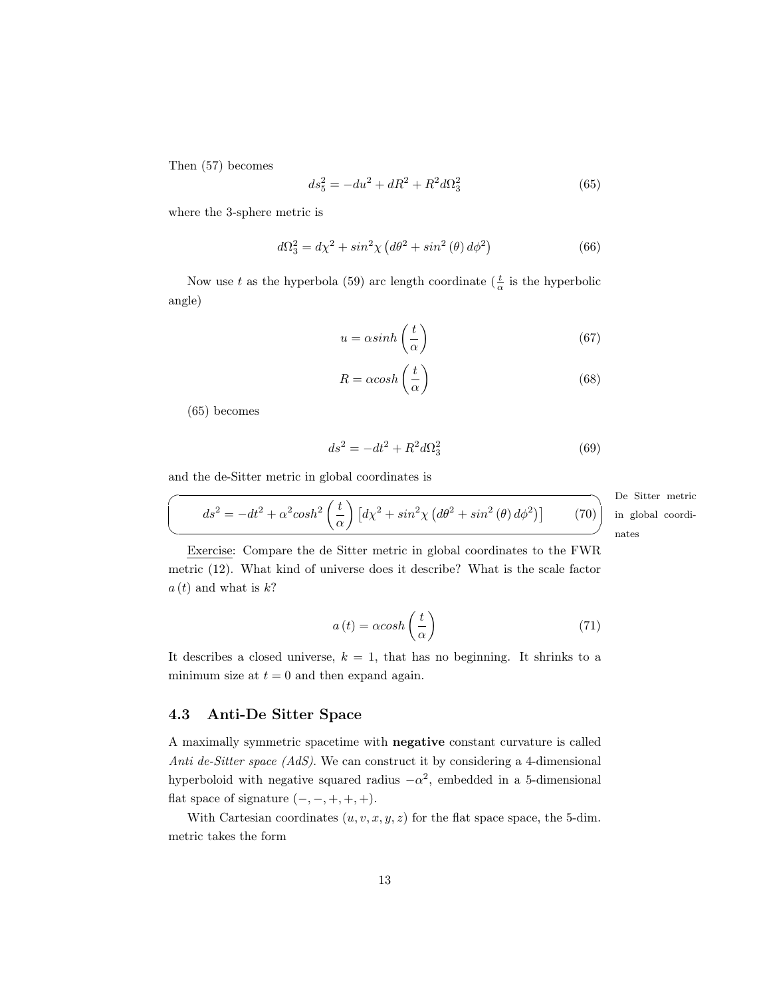Then [\(57\)](#page-11-4) becomes

<span id="page-12-1"></span>
$$
ds_5^2 = -du^2 + dR^2 + R^2d\Omega_3^2\tag{65}
$$

where the 3-sphere metric is

$$
d\Omega_3^2 = d\chi^2 + \sin^2\chi \left(d\theta^2 + \sin^2\left(\theta\right)d\phi^2\right)
$$
\n(66)

Now use t as the hyperbola [\(59\)](#page-11-5) arc length coordinate ( $\frac{t}{\alpha}$  is the hyperbolic angle)

$$
u = \alpha \sinh\left(\frac{t}{\alpha}\right) \tag{67}
$$

$$
R = \alpha \cosh\left(\frac{t}{\alpha}\right) \tag{68}
$$

[\(65\)](#page-12-1) becomes

$$
ds^2 = -dt^2 + R^2 d\Omega_3^2
$$
 (69)

and the de-Sitter metric in global coordinates is

$$
\left(\frac{ds^2}{dt^2} - dt^2 + \alpha^2 \cosh^2\left(\frac{t}{\alpha}\right) \left[d\chi^2 + \sin^2\chi \left(d\theta^2 + \sin^2\left(\theta\right)d\phi^2\right)\right] \tag{70}
$$

De Sitter metric ✌ nates in global coordi-

Exercise: Compare the de Sitter metric in global coordinates to the FWR metric [\(12\)](#page-4-2). What kind of universe does it describe? What is the scale factor  $a(t)$  and what is  $k$ ?

$$
a(t) = \alpha \cosh\left(\frac{t}{\alpha}\right) \tag{71}
$$

It describes a closed universe,  $k = 1$ , that has no beginning. It shrinks to a minimum size at  $t = 0$  and then expand again.

## <span id="page-12-0"></span>4.3 Anti-De Sitter Space

A maximally symmetric spacetime with negative constant curvature is called Anti de-Sitter space (AdS). We can construct it by considering a 4-dimensional hyperboloid with negative squared radius  $-\alpha^2$ , embedded in a 5-dimensional flat space of signature  $(-, -, +, +, +)$ .

With Cartesian coordinates  $(u, v, x, y, z)$  for the flat space space, the 5-dim. metric takes the form